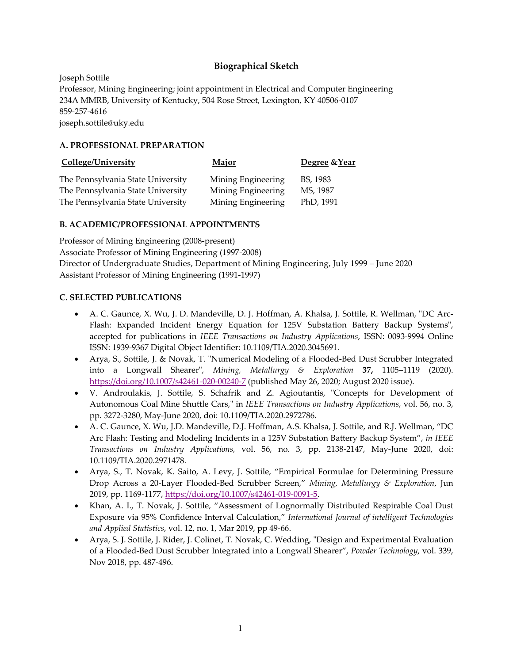# **Biographical Sketch**

Joseph Sottile Professor, Mining Engineering; joint appointment in Electrical and Computer Engineering 234A MMRB, University of Kentucky, 504 Rose Street, Lexington, KY 40506‐0107 859‐257‐4616 joseph.sottile@uky.edu

#### **A. PROFESSIONAL PREPARATION**

| College/University                | Major              | Degree & Year |
|-----------------------------------|--------------------|---------------|
| The Pennsylvania State University | Mining Engineering | BS, 1983      |
| The Pennsylvania State University | Mining Engineering | MS, 1987      |
| The Pennsylvania State University | Mining Engineering | PhD, 1991     |

#### **B. ACADEMIC/PROFESSIONAL APPOINTMENTS**

Professor of Mining Engineering (2008‐present) Associate Professor of Mining Engineering (1997‐2008) Director of Undergraduate Studies, Department of Mining Engineering, July 1999 – June 2020 Assistant Professor of Mining Engineering (1991‐1997)

#### **C. SELECTED PUBLICATIONS**

- A. C. Gaunce, X. Wu, J. D. Mandeville, D. J. Hoffman, A. Khalsa, J. Sottile, R. Wellman, "DC Arc-Flash: Expanded Incident Energy Equation for 125V Substation Battery Backup Systems", accepted for publications in *IEEE Transactions on Industry Applications*, ISSN: 0093‐9994 Online ISSN: 1939‐9367 Digital Object Identifier: 10.1109/TIA.2020.3045691.
- Arya, S., Sottile, J. & Novak, T. "Numerical Modeling of a Flooded-Bed Dust Scrubber Integrated into a Longwall Shearerʺ, *Mining, Metallurgy & Exploration* **37,** 1105–1119 (2020). https://doi.org/10.1007/s42461-020-00240-7 (published May 26, 2020; August 2020 issue).
- V. Androulakis, J. Sottile, S. Schafrik and Z. Agioutantis, "Concepts for Development of Autonomous Coal Mine Shuttle Cars,ʺ in *IEEE Transactions on Industry Applications*, vol. 56, no. 3, pp. 3272‐3280, May‐June 2020, doi: 10.1109/TIA.2020.2972786.
- A. C. Gaunce, X. Wu, J.D. Mandeville, D.J. Hoffman, A.S. Khalsa, J. Sottile, and R.J. Wellman, "DC Arc Flash: Testing and Modeling Incidents in a 125V Substation Battery Backup System", *in IEEE Transactions on Industry Applications,* vol. 56, no. 3, pp. 2138‐2147, May‐June 2020, doi: 10.1109/TIA.2020.2971478.
- Arya, S., T. Novak, K. Saito, A. Levy, J. Sottile, "Empirical Formulae for Determining Pressure Drop Across a 20‐Layer Flooded‐Bed Scrubber Screen," *Mining, Metallurgy & Exploration*, Jun 2019, pp. 1169‐1177, https://doi.org/10.1007/s42461‐019‐0091‐5.
- Khan, A. I., T. Novak, J. Sottile, "Assessment of Lognormally Distributed Respirable Coal Dust Exposure via 95% Confidence Interval Calculation," *International Journal of intelligent Technologies and Applied Statistics*, vol. 12, no. 1, Mar 2019, pp 49‐66.
- Arya, S. J. Sottile, J. Rider, J. Colinet, T. Novak, C. Wedding, "Design and Experimental Evaluation of a Flooded‐Bed Dust Scrubber Integrated into a Longwall Shearer", *Powder Technology*, vol. 339, Nov 2018, pp. 487‐496.